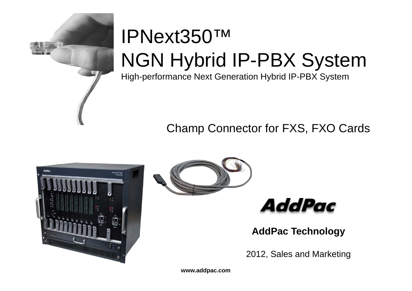

# IPNext350™NGN Hybrid IP-PBX System

High-performance Next Generation Hybrid IP-PBX System

### Champ Connector for FXS, FXO Cards







**AddPac Technology**

2012, Sales and Marketing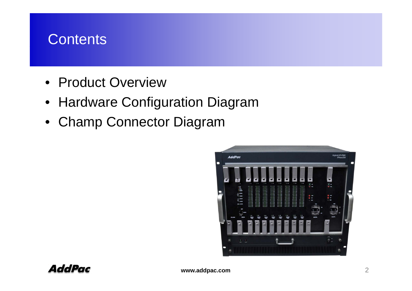# **Contents**

- Product Overview
- Hardware Configuration Diagram
- Champ Connector Diagram

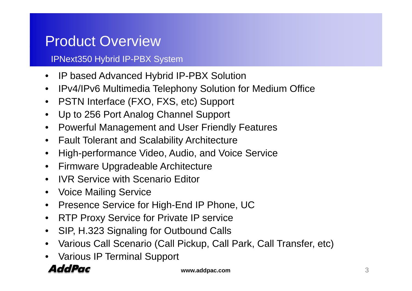### Product Overview

#### IPNext350 Hybrid IP-PBX System

- $\bullet$ IP based Advanced Hybrid IP-PBX Solution
- $\bullet$ IPv4/IPv6 Multimedia Telephony Solution for Medium Office
- $\bullet$ PSTN Interface (FXO, FXS, etc) Support
- $\bullet$ Up to 256 Port Analog Channel Support
- $\bullet$ Powerful Management and User Friendly Features
- $\bullet$ Fault Tolerant and Scalability Architecture
- $\bullet$ High-performance Video, Audio, and Voice Service
- $\bullet$ Firmware Upgradeable Architecture
- •**IVR Service with Scenario Editor**
- $\bullet$ Voice Mailing Service
- $\bullet$ Presence Service for High-End IP Phone, UC
- $\bullet$ RTP Proxy Service for Private IP service
- $\bullet$ SIP, H.323 Signaling for Outbound Calls
- $\bullet$ • Various Call Scenario (Call Pickup, Call Park, Call Transfer, etc)<br>• Various IP Terminal Support
- Various IP Terminal Support

### **AddPac**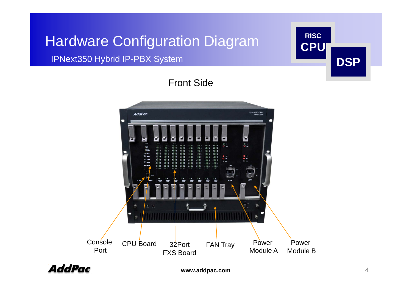# Hardware Configuration Diagram **RISC**

#### **IPNext350 Hybrid IP-PBX System**



### Front Side



**AddPac**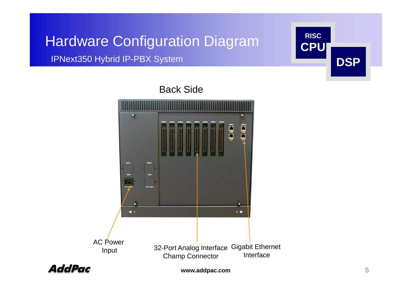# Hardware Configuration Diagram **CPU**

IPNext350 Hybrid IP-PBX System





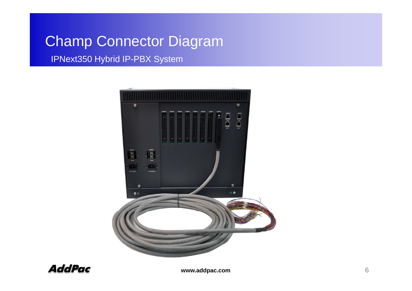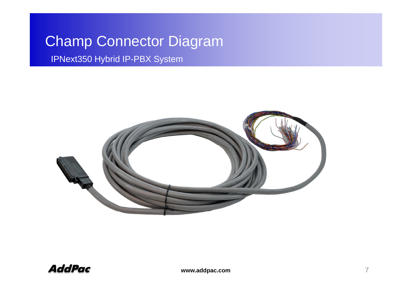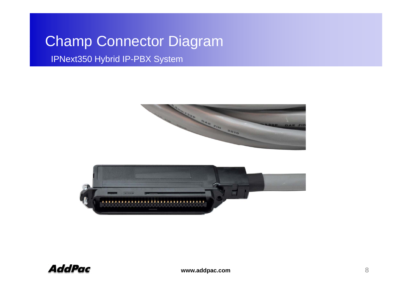

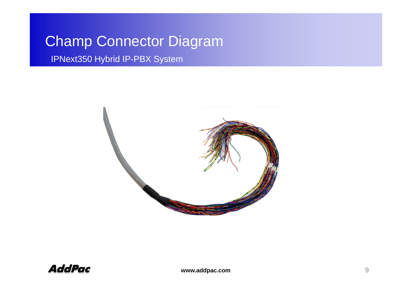